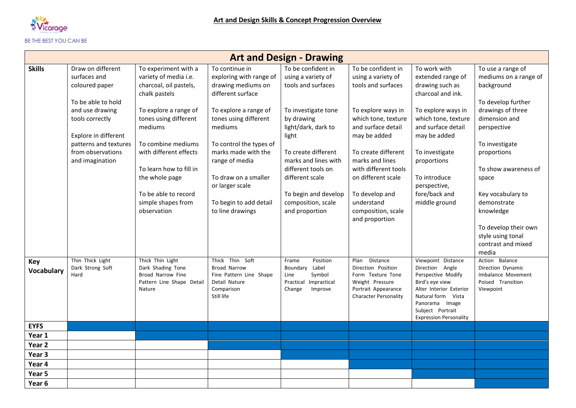

## BE THE BEST YOU CAN BE

| <b>Art and Design - Drawing</b> |                                                                                                                                                                                                          |                                                                                                                                                                                                                                                                                                                 |                                                                                                                                                                                                                                                                                                                |                                                                                                                                                                                                                                                                                             |                                                                                                                                                                                                                                                                                                                   |                                                                                                                                                                                                                                                                 |                                                                                                                                                                                                                                                                                                     |  |  |
|---------------------------------|----------------------------------------------------------------------------------------------------------------------------------------------------------------------------------------------------------|-----------------------------------------------------------------------------------------------------------------------------------------------------------------------------------------------------------------------------------------------------------------------------------------------------------------|----------------------------------------------------------------------------------------------------------------------------------------------------------------------------------------------------------------------------------------------------------------------------------------------------------------|---------------------------------------------------------------------------------------------------------------------------------------------------------------------------------------------------------------------------------------------------------------------------------------------|-------------------------------------------------------------------------------------------------------------------------------------------------------------------------------------------------------------------------------------------------------------------------------------------------------------------|-----------------------------------------------------------------------------------------------------------------------------------------------------------------------------------------------------------------------------------------------------------------|-----------------------------------------------------------------------------------------------------------------------------------------------------------------------------------------------------------------------------------------------------------------------------------------------------|--|--|
| <b>Skills</b>                   | Draw on different<br>surfaces and<br>coloured paper<br>To be able to hold<br>and use drawing<br>tools correctly<br>Explore in different<br>patterns and textures<br>from observations<br>and imagination | To experiment with a<br>variety of media i.e.<br>charcoal, oil pastels,<br>chalk pastels<br>To explore a range of<br>tones using different<br>mediums<br>To combine mediums<br>with different effects<br>To learn how to fill in<br>the whole page<br>To be able to record<br>simple shapes from<br>observation | To continue in<br>exploring with range of<br>drawing mediums on<br>different surface<br>To explore a range of<br>tones using different<br>mediums<br>To control the types of<br>marks made with the<br>range of media<br>To draw on a smaller<br>or larger scale<br>To begin to add detail<br>to line drawings | To be confident in<br>using a variety of<br>tools and surfaces<br>To investigate tone<br>by drawing<br>light/dark, dark to<br>light<br>To create different<br>marks and lines with<br>different tools on<br>different scale<br>To begin and develop<br>composition, scale<br>and proportion | To be confident in<br>using a variety of<br>tools and surfaces<br>To explore ways in<br>which tone, texture<br>and surface detail<br>may be added<br>To create different<br>marks and lines<br>with different tools<br>on different scale<br>To develop and<br>understand<br>composition, scale<br>and proportion | To work with<br>extended range of<br>drawing such as<br>charcoal and ink.<br>To explore ways in<br>which tone, texture<br>and surface detail<br>may be added<br>To investigate<br>proportions<br>To introduce<br>perspective,<br>fore/back and<br>middle ground | To use a range of<br>mediums on a range of<br>background<br>To develop further<br>drawings of three<br>dimension and<br>perspective<br>To investigate<br>proportions<br>To show awareness of<br>space<br>Key vocabulary to<br>demonstrate<br>knowledge<br>To develop their own<br>style using tonal |  |  |
| Key<br><b>Vocabulary</b>        | Thin Thick Light<br>Dark Strong Soft<br>Hard                                                                                                                                                             | Thick Thin Light<br>Dark Shading Tone<br>Broad Narrow Fine<br>Pattern Line Shape Detail<br>Nature                                                                                                                                                                                                               | Thick Thin Soft<br>Broad Narrow<br>Fine Pattern Line Shape<br>Detail Nature<br>Comparison<br>Still life                                                                                                                                                                                                        | Position<br>Frame<br>Boundary Label<br>Symbol<br>Line<br>Impractical<br>Practical<br>Change<br>Improve                                                                                                                                                                                      | Distance<br>Plan<br>Direction Position<br>Form Texture Tone<br>Weight Pressure<br>Portrait Appearance<br>Character Personality                                                                                                                                                                                    | Viewpoint Distance<br>Direction Angle<br>Perspective Modify<br>Bird's eye view<br>Alter Interior Exterior<br>Natural form Vista<br>Panorama Image<br>Subject Portrait<br><b>Expression Personality</b>                                                          | contrast and mixed<br>media<br>Action Balance<br>Direction Dynamic<br>Imbalance Movement<br>Poised Transition<br>Viewpoint                                                                                                                                                                          |  |  |
| <b>EYFS</b>                     |                                                                                                                                                                                                          |                                                                                                                                                                                                                                                                                                                 |                                                                                                                                                                                                                                                                                                                |                                                                                                                                                                                                                                                                                             |                                                                                                                                                                                                                                                                                                                   |                                                                                                                                                                                                                                                                 |                                                                                                                                                                                                                                                                                                     |  |  |
| Year 1<br>Year <sub>2</sub>     |                                                                                                                                                                                                          |                                                                                                                                                                                                                                                                                                                 |                                                                                                                                                                                                                                                                                                                |                                                                                                                                                                                                                                                                                             |                                                                                                                                                                                                                                                                                                                   |                                                                                                                                                                                                                                                                 |                                                                                                                                                                                                                                                                                                     |  |  |
| Year <sub>3</sub>               |                                                                                                                                                                                                          |                                                                                                                                                                                                                                                                                                                 |                                                                                                                                                                                                                                                                                                                |                                                                                                                                                                                                                                                                                             |                                                                                                                                                                                                                                                                                                                   |                                                                                                                                                                                                                                                                 |                                                                                                                                                                                                                                                                                                     |  |  |
| Year 4                          |                                                                                                                                                                                                          |                                                                                                                                                                                                                                                                                                                 |                                                                                                                                                                                                                                                                                                                |                                                                                                                                                                                                                                                                                             |                                                                                                                                                                                                                                                                                                                   |                                                                                                                                                                                                                                                                 |                                                                                                                                                                                                                                                                                                     |  |  |
| Year 5                          |                                                                                                                                                                                                          |                                                                                                                                                                                                                                                                                                                 |                                                                                                                                                                                                                                                                                                                |                                                                                                                                                                                                                                                                                             |                                                                                                                                                                                                                                                                                                                   |                                                                                                                                                                                                                                                                 |                                                                                                                                                                                                                                                                                                     |  |  |
| Year <sub>6</sub>               |                                                                                                                                                                                                          |                                                                                                                                                                                                                                                                                                                 |                                                                                                                                                                                                                                                                                                                |                                                                                                                                                                                                                                                                                             |                                                                                                                                                                                                                                                                                                                   |                                                                                                                                                                                                                                                                 |                                                                                                                                                                                                                                                                                                     |  |  |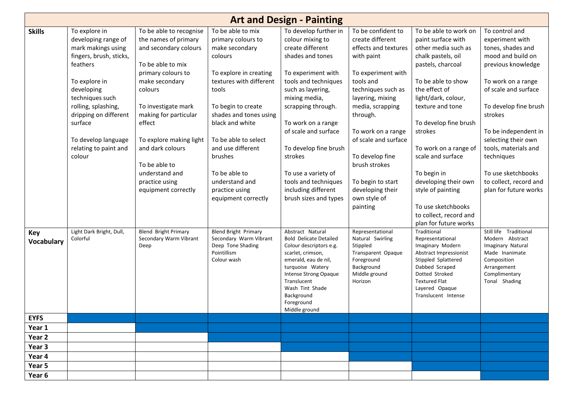| <b>Art and Design - Painting</b> |                                                                                                                                                                                                                                       |                                                                                                                                                                                                                                       |                                                                                                                                                                                                                               |                                                                                                                                                                                                                                                       |                                                                                                                                                                                                                                         |                                                                                                                                                                                                                                     |                                                                                                                                                                                                                                    |  |  |
|----------------------------------|---------------------------------------------------------------------------------------------------------------------------------------------------------------------------------------------------------------------------------------|---------------------------------------------------------------------------------------------------------------------------------------------------------------------------------------------------------------------------------------|-------------------------------------------------------------------------------------------------------------------------------------------------------------------------------------------------------------------------------|-------------------------------------------------------------------------------------------------------------------------------------------------------------------------------------------------------------------------------------------------------|-----------------------------------------------------------------------------------------------------------------------------------------------------------------------------------------------------------------------------------------|-------------------------------------------------------------------------------------------------------------------------------------------------------------------------------------------------------------------------------------|------------------------------------------------------------------------------------------------------------------------------------------------------------------------------------------------------------------------------------|--|--|
| <b>Skills</b>                    | To explore in<br>developing range of<br>mark makings using<br>fingers, brush, sticks,<br>feathers<br>To explore in<br>developing<br>techniques such<br>rolling, splashing,<br>dripping on different<br>surface<br>To develop language | To be able to recognise<br>the names of primary<br>and secondary colours<br>To be able to mix<br>primary colours to<br>make secondary<br>colours<br>To investigate mark<br>making for particular<br>effect<br>To explore making light | To be able to mix<br>primary colours to<br>make secondary<br>colours<br>To explore in creating<br>textures with different<br>tools<br>To begin to create<br>shades and tones using<br>black and white<br>To be able to select | To develop further in<br>colour mixing to<br>create different<br>shades and tones<br>To experiment with<br>tools and techniques<br>such as layering,<br>mixing media,<br>scrapping through.<br>To work on a range<br>of scale and surface             | To be confident to<br>create different<br>effects and textures<br>with paint<br>To experiment with<br>tools and<br>techniques such as<br>layering, mixing<br>media, scrapping<br>through.<br>To work on a range<br>of scale and surface | To be able to work on<br>paint surface with<br>other media such as<br>chalk pastels, oil<br>pastels, charcoal<br>To be able to show<br>the effect of<br>light/dark, colour,<br>texture and tone<br>To develop fine brush<br>strokes | To control and<br>experiment with<br>tones, shades and<br>mood and build on<br>previous knowledge<br>To work on a range<br>of scale and surface<br>To develop fine brush<br>strokes<br>To be independent in<br>selecting their own |  |  |
|                                  | relating to paint and<br>colour                                                                                                                                                                                                       | and dark colours<br>To be able to<br>understand and<br>practice using<br>equipment correctly                                                                                                                                          | and use different<br>brushes<br>To be able to<br>understand and<br>practice using<br>equipment correctly                                                                                                                      | To develop fine brush<br>strokes<br>To use a variety of<br>tools and techniques<br>including different<br>brush sizes and types                                                                                                                       | To develop fine<br>brush strokes<br>To begin to start<br>developing their<br>own style of<br>painting                                                                                                                                   | To work on a range of<br>scale and surface<br>To begin in<br>developing their own<br>style of painting<br>To use sketchbooks<br>to collect, record and<br>plan for future works                                                     | tools, materials and<br>techniques<br>To use sketchbooks<br>to collect, record and<br>plan for future works                                                                                                                        |  |  |
| Key<br><b>Vocabulary</b>         | Light Dark Bright, Dull,<br>Colorful                                                                                                                                                                                                  | <b>Blend Bright Primary</b><br>Secondary Warm Vibrant<br>Deep                                                                                                                                                                         | <b>Blend Bright Primary</b><br>Secondary Warm Vibrant<br>Deep Tone Shading<br>Pointillism<br>Colour wash                                                                                                                      | Abstract Natural<br><b>Bold Delicate Detailed</b><br>Colour descriptors e.g.<br>scarlet, crimson,<br>emerald, eau de nil,<br>turquoise Watery<br>Intense Strong Opaque<br>Translucent<br>Wash Tint Shade<br>Background<br>Foreground<br>Middle ground | Representational<br>Natural Swirling<br>Stippled<br>Transparent Opaque<br>Foreground<br>Background<br>Middle ground<br>Horizon                                                                                                          | Traditional<br>Representational<br>Imaginary Modern<br>Abstract Impressionist<br>Stippled Splattered<br>Dabbed Scraped<br>Dotted Stroked<br><b>Textured Flat</b><br>Layered Opaque<br>Translucent Intense                           | Still life Traditional<br>Modern Abstract<br>Imaginary Natural<br>Made Inanimate<br>Composition<br>Arrangement<br>Complimentary<br>Tonal Shading                                                                                   |  |  |
| <b>EYFS</b>                      |                                                                                                                                                                                                                                       |                                                                                                                                                                                                                                       |                                                                                                                                                                                                                               |                                                                                                                                                                                                                                                       |                                                                                                                                                                                                                                         |                                                                                                                                                                                                                                     |                                                                                                                                                                                                                                    |  |  |
| Year 1                           |                                                                                                                                                                                                                                       |                                                                                                                                                                                                                                       |                                                                                                                                                                                                                               |                                                                                                                                                                                                                                                       |                                                                                                                                                                                                                                         |                                                                                                                                                                                                                                     |                                                                                                                                                                                                                                    |  |  |
| Year 2                           |                                                                                                                                                                                                                                       |                                                                                                                                                                                                                                       |                                                                                                                                                                                                                               |                                                                                                                                                                                                                                                       |                                                                                                                                                                                                                                         |                                                                                                                                                                                                                                     |                                                                                                                                                                                                                                    |  |  |
| Year 3                           |                                                                                                                                                                                                                                       |                                                                                                                                                                                                                                       |                                                                                                                                                                                                                               |                                                                                                                                                                                                                                                       |                                                                                                                                                                                                                                         |                                                                                                                                                                                                                                     |                                                                                                                                                                                                                                    |  |  |
| Year 4                           |                                                                                                                                                                                                                                       |                                                                                                                                                                                                                                       |                                                                                                                                                                                                                               |                                                                                                                                                                                                                                                       |                                                                                                                                                                                                                                         |                                                                                                                                                                                                                                     |                                                                                                                                                                                                                                    |  |  |
| Year 5                           |                                                                                                                                                                                                                                       |                                                                                                                                                                                                                                       |                                                                                                                                                                                                                               |                                                                                                                                                                                                                                                       |                                                                                                                                                                                                                                         |                                                                                                                                                                                                                                     |                                                                                                                                                                                                                                    |  |  |
| Year 6                           |                                                                                                                                                                                                                                       |                                                                                                                                                                                                                                       |                                                                                                                                                                                                                               |                                                                                                                                                                                                                                                       |                                                                                                                                                                                                                                         |                                                                                                                                                                                                                                     |                                                                                                                                                                                                                                    |  |  |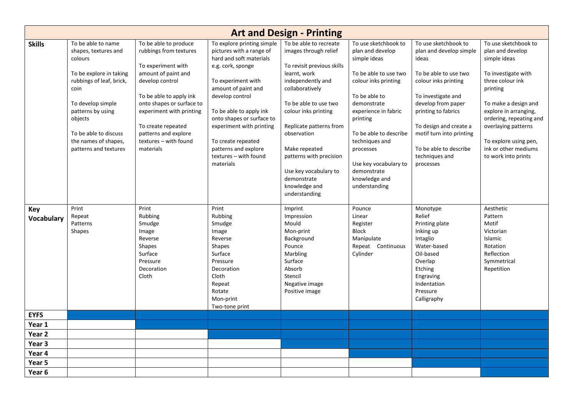| <b>Art and Design - Printing</b> |                                                                                                                                                                                                                                                     |                                                                                                                                                                                                                                                                                         |                                                                                                                                                                                                                                                                                                                                                |                                                                                                                                                                                                                                                                                                                                                        |                                                                                                                                                                                                                                                                                                                  |                                                                                                                                                                                                                                                                                             |                                                                                                                                                                                                                                                                                            |  |
|----------------------------------|-----------------------------------------------------------------------------------------------------------------------------------------------------------------------------------------------------------------------------------------------------|-----------------------------------------------------------------------------------------------------------------------------------------------------------------------------------------------------------------------------------------------------------------------------------------|------------------------------------------------------------------------------------------------------------------------------------------------------------------------------------------------------------------------------------------------------------------------------------------------------------------------------------------------|--------------------------------------------------------------------------------------------------------------------------------------------------------------------------------------------------------------------------------------------------------------------------------------------------------------------------------------------------------|------------------------------------------------------------------------------------------------------------------------------------------------------------------------------------------------------------------------------------------------------------------------------------------------------------------|---------------------------------------------------------------------------------------------------------------------------------------------------------------------------------------------------------------------------------------------------------------------------------------------|--------------------------------------------------------------------------------------------------------------------------------------------------------------------------------------------------------------------------------------------------------------------------------------------|--|
| <b>Skills</b>                    | To be able to name<br>shapes, textures and<br>colours<br>To be explore in taking<br>rubbings of leaf, brick,<br>coin<br>To develop simple<br>patterns by using<br>objects<br>To be able to discuss<br>the names of shapes,<br>patterns and textures | To be able to produce<br>rubbings from textures<br>To experiment with<br>amount of paint and<br>develop control<br>To be able to apply ink<br>onto shapes or surface to<br>experiment with printing<br>To create repeated<br>patterns and explore<br>textures - with found<br>materials | To explore printing simple<br>pictures with a range of<br>hard and soft materials<br>e.g. cork, sponge<br>To experiment with<br>amount of paint and<br>develop control<br>To be able to apply ink<br>onto shapes or surface to<br>experiment with printing<br>To create repeated<br>patterns and explore<br>textures - with found<br>materials | To be able to recreate<br>images through relief<br>To revisit previous skills<br>learnt, work<br>independently and<br>collaboratively<br>To be able to use two<br>colour inks printing<br>Replicate patterns from<br>observation<br>Make repeated<br>patterns with precision<br>Use key vocabulary to<br>demonstrate<br>knowledge and<br>understanding | To use sketchbook to<br>plan and develop<br>simple ideas<br>To be able to use two<br>colour inks printing<br>To be able to<br>demonstrate<br>experience in fabric<br>printing<br>To be able to describe<br>techniques and<br>processes<br>Use key vocabulary to<br>demonstrate<br>knowledge and<br>understanding | To use sketchbook to<br>plan and develop simple<br>ideas<br>To be able to use two<br>colour inks printing<br>To investigate and<br>develop from paper<br>printing to fabrics<br>To design and create a<br>motif turn into printing<br>To be able to describe<br>techniques and<br>processes | To use sketchbook to<br>plan and develop<br>simple ideas<br>To investigate with<br>three colour ink<br>printing<br>To make a design and<br>explore in arranging,<br>ordering, repeating and<br>overlaying patterns<br>To explore using pen,<br>ink or other mediums<br>to work into prints |  |
| Key<br>Vocabulary                | Print<br>Repeat<br>Patterns<br>Shapes                                                                                                                                                                                                               | Print<br>Rubbing<br>Smudge<br>Image<br>Reverse<br><b>Shapes</b><br>Surface<br>Pressure<br>Decoration<br>Cloth                                                                                                                                                                           | Print<br>Rubbing<br>Smudge<br>Image<br>Reverse<br>Shapes<br>Surface<br>Pressure<br>Decoration<br>Cloth<br>Repeat<br>Rotate<br>Mon-print<br>Two-tone print                                                                                                                                                                                      | Imprint<br>Impression<br>Mould<br>Mon-print<br>Background<br>Pounce<br>Marbling<br>Surface<br>Absorb<br>Stencil<br>Negative image<br>Positive image                                                                                                                                                                                                    | Pounce<br>Linear<br>Register<br><b>Block</b><br>Manipulate<br>Repeat Continuous<br>Cylinder                                                                                                                                                                                                                      | Monotype<br>Relief<br>Printing plate<br>Inking up<br>Intaglio<br>Water-based<br>Oil-based<br>Overlap<br>Etching<br>Engraving<br>Indentation<br>Pressure<br>Calligraphy                                                                                                                      | Aesthetic<br>Pattern<br>Motif<br>Victorian<br>Islamic<br>Rotation<br>Reflection<br>Symmetrical<br>Repetition                                                                                                                                                                               |  |
| <b>EYFS</b>                      |                                                                                                                                                                                                                                                     |                                                                                                                                                                                                                                                                                         |                                                                                                                                                                                                                                                                                                                                                |                                                                                                                                                                                                                                                                                                                                                        |                                                                                                                                                                                                                                                                                                                  |                                                                                                                                                                                                                                                                                             |                                                                                                                                                                                                                                                                                            |  |
| Year 1                           |                                                                                                                                                                                                                                                     |                                                                                                                                                                                                                                                                                         |                                                                                                                                                                                                                                                                                                                                                |                                                                                                                                                                                                                                                                                                                                                        |                                                                                                                                                                                                                                                                                                                  |                                                                                                                                                                                                                                                                                             |                                                                                                                                                                                                                                                                                            |  |
| Year 2                           |                                                                                                                                                                                                                                                     |                                                                                                                                                                                                                                                                                         |                                                                                                                                                                                                                                                                                                                                                |                                                                                                                                                                                                                                                                                                                                                        |                                                                                                                                                                                                                                                                                                                  |                                                                                                                                                                                                                                                                                             |                                                                                                                                                                                                                                                                                            |  |
| Year 3                           |                                                                                                                                                                                                                                                     |                                                                                                                                                                                                                                                                                         |                                                                                                                                                                                                                                                                                                                                                |                                                                                                                                                                                                                                                                                                                                                        |                                                                                                                                                                                                                                                                                                                  |                                                                                                                                                                                                                                                                                             |                                                                                                                                                                                                                                                                                            |  |
| Year 4                           |                                                                                                                                                                                                                                                     |                                                                                                                                                                                                                                                                                         |                                                                                                                                                                                                                                                                                                                                                |                                                                                                                                                                                                                                                                                                                                                        |                                                                                                                                                                                                                                                                                                                  |                                                                                                                                                                                                                                                                                             |                                                                                                                                                                                                                                                                                            |  |
| Year 5                           |                                                                                                                                                                                                                                                     |                                                                                                                                                                                                                                                                                         |                                                                                                                                                                                                                                                                                                                                                |                                                                                                                                                                                                                                                                                                                                                        |                                                                                                                                                                                                                                                                                                                  |                                                                                                                                                                                                                                                                                             |                                                                                                                                                                                                                                                                                            |  |
| Year 6                           |                                                                                                                                                                                                                                                     |                                                                                                                                                                                                                                                                                         |                                                                                                                                                                                                                                                                                                                                                |                                                                                                                                                                                                                                                                                                                                                        |                                                                                                                                                                                                                                                                                                                  |                                                                                                                                                                                                                                                                                             |                                                                                                                                                                                                                                                                                            |  |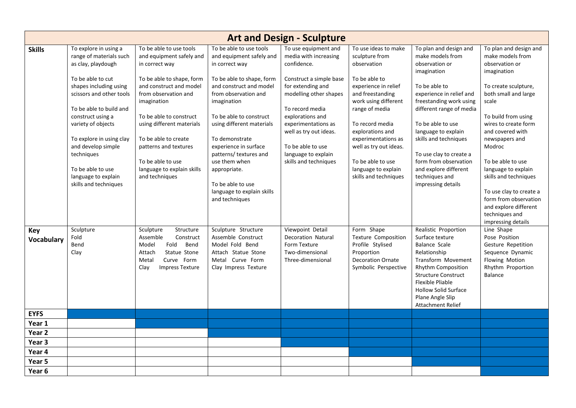|                   | <b>Art and Design - Sculpture</b>                                                                                                                                                                                                                                                                                                                            |                                                                                                                                                                                                                                                                                                                                                    |                                                                                                                                                                                                                                                                                                                                                                                                         |                                                                                                                                                                                                                                                                                                     |                                                                                                                                                                                                                                                                                                                           |                                                                                                                                                                                                                                                                                                                                                                           |                                                                                                                                                                                                                                                                                                                                                                                                                               |  |  |
|-------------------|--------------------------------------------------------------------------------------------------------------------------------------------------------------------------------------------------------------------------------------------------------------------------------------------------------------------------------------------------------------|----------------------------------------------------------------------------------------------------------------------------------------------------------------------------------------------------------------------------------------------------------------------------------------------------------------------------------------------------|---------------------------------------------------------------------------------------------------------------------------------------------------------------------------------------------------------------------------------------------------------------------------------------------------------------------------------------------------------------------------------------------------------|-----------------------------------------------------------------------------------------------------------------------------------------------------------------------------------------------------------------------------------------------------------------------------------------------------|---------------------------------------------------------------------------------------------------------------------------------------------------------------------------------------------------------------------------------------------------------------------------------------------------------------------------|---------------------------------------------------------------------------------------------------------------------------------------------------------------------------------------------------------------------------------------------------------------------------------------------------------------------------------------------------------------------------|-------------------------------------------------------------------------------------------------------------------------------------------------------------------------------------------------------------------------------------------------------------------------------------------------------------------------------------------------------------------------------------------------------------------------------|--|--|
| <b>Skills</b>     | To explore in using a<br>range of materials such<br>as clay, playdough<br>To be able to cut<br>shapes including using<br>scissors and other tools<br>To be able to build and<br>construct using a<br>variety of objects<br>To explore in using clay<br>and develop simple<br>techniques<br>To be able to use<br>language to explain<br>skills and techniques | To be able to use tools<br>and equipment safely and<br>in correct way<br>To be able to shape, form<br>and construct and model<br>from observation and<br>imagination<br>To be able to construct<br>using different materials<br>To be able to create<br>patterns and textures<br>To be able to use<br>language to explain skills<br>and techniques | To be able to use tools<br>and equipment safely and<br>in correct way<br>To be able to shape, form<br>and construct and model<br>from observation and<br>imagination<br>To be able to construct<br>using different materials<br>To demonstrate<br>experience in surface<br>patterns/ textures and<br>use them when<br>appropriate.<br>To be able to use<br>language to explain skills<br>and techniques | To use equipment and<br>media with increasing<br>confidence.<br>Construct a simple base<br>for extending and<br>modelling other shapes<br>To record media<br>explorations and<br>experimentations as<br>well as try out ideas.<br>To be able to use<br>language to explain<br>skills and techniques | To use ideas to make<br>sculpture from<br>observation<br>To be able to<br>experience in relief<br>and freestanding<br>work using different<br>range of media<br>To record media<br>explorations and<br>experimentations as<br>well as try out ideas.<br>To be able to use<br>language to explain<br>skills and techniques | To plan and design and<br>make models from<br>observation or<br>imagination<br>To be able to<br>experience in relief and<br>freestanding work using<br>different range of media<br>To be able to use<br>language to explain<br>skills and techniques<br>To use clay to create a<br>form from observation<br>and explore different<br>techniques and<br>impressing details | To plan and design and<br>make models from<br>observation or<br>imagination<br>To create sculpture,<br>both small and large<br>scale<br>To build from using<br>wires to create form<br>and covered with<br>newspapers and<br>Modroc<br>To be able to use<br>language to explain<br>skills and techniques<br>To use clay to create a<br>form from observation<br>and explore different<br>techniques and<br>impressing details |  |  |
| Key<br>Vocabulary | Sculpture<br>Fold<br>Bend<br>Clay                                                                                                                                                                                                                                                                                                                            | Sculpture<br>Structure<br>Assemble<br>Construct<br>Fold<br>Bend<br>Model<br>Statue Stone<br>Attach<br>Metal<br>Curve Form<br>Clay<br><b>Impress Texture</b>                                                                                                                                                                                        | Sculpture Structure<br>Assemble Construct<br>Model Fold Bend<br>Attach Statue Stone<br>Metal Curve Form<br>Clay Impress Texture                                                                                                                                                                                                                                                                         | Viewpoint Detail<br><b>Decoration Natural</b><br>Form Texture<br>Two-dimensional<br>Three-dimensional                                                                                                                                                                                               | Form Shape<br><b>Texture Composition</b><br>Profile Stylised<br>Proportion<br><b>Decoration Ornate</b><br>Symbolic Perspective                                                                                                                                                                                            | Realistic Proportion<br>Surface texture<br><b>Balance Scale</b><br>Relationship<br><b>Transform Movement</b><br>Rhythm Composition<br><b>Structure Construct</b><br>Flexible Pliable<br><b>Hollow Solid Surface</b><br>Plane Angle Slip<br><b>Attachment Relief</b>                                                                                                       | Line Shape<br>Pose Position<br>Gesture Repetition<br>Sequence Dynamic<br>Flowing Motion<br>Rhythm Proportion<br>Balance                                                                                                                                                                                                                                                                                                       |  |  |
| <b>EYFS</b>       |                                                                                                                                                                                                                                                                                                                                                              |                                                                                                                                                                                                                                                                                                                                                    |                                                                                                                                                                                                                                                                                                                                                                                                         |                                                                                                                                                                                                                                                                                                     |                                                                                                                                                                                                                                                                                                                           |                                                                                                                                                                                                                                                                                                                                                                           |                                                                                                                                                                                                                                                                                                                                                                                                                               |  |  |
| Year 1            |                                                                                                                                                                                                                                                                                                                                                              |                                                                                                                                                                                                                                                                                                                                                    |                                                                                                                                                                                                                                                                                                                                                                                                         |                                                                                                                                                                                                                                                                                                     |                                                                                                                                                                                                                                                                                                                           |                                                                                                                                                                                                                                                                                                                                                                           |                                                                                                                                                                                                                                                                                                                                                                                                                               |  |  |
| Year 2            |                                                                                                                                                                                                                                                                                                                                                              |                                                                                                                                                                                                                                                                                                                                                    |                                                                                                                                                                                                                                                                                                                                                                                                         |                                                                                                                                                                                                                                                                                                     |                                                                                                                                                                                                                                                                                                                           |                                                                                                                                                                                                                                                                                                                                                                           |                                                                                                                                                                                                                                                                                                                                                                                                                               |  |  |
| Year 3            |                                                                                                                                                                                                                                                                                                                                                              |                                                                                                                                                                                                                                                                                                                                                    |                                                                                                                                                                                                                                                                                                                                                                                                         |                                                                                                                                                                                                                                                                                                     |                                                                                                                                                                                                                                                                                                                           |                                                                                                                                                                                                                                                                                                                                                                           |                                                                                                                                                                                                                                                                                                                                                                                                                               |  |  |
| Year 4            |                                                                                                                                                                                                                                                                                                                                                              |                                                                                                                                                                                                                                                                                                                                                    |                                                                                                                                                                                                                                                                                                                                                                                                         |                                                                                                                                                                                                                                                                                                     |                                                                                                                                                                                                                                                                                                                           |                                                                                                                                                                                                                                                                                                                                                                           |                                                                                                                                                                                                                                                                                                                                                                                                                               |  |  |
| Year 5            |                                                                                                                                                                                                                                                                                                                                                              |                                                                                                                                                                                                                                                                                                                                                    |                                                                                                                                                                                                                                                                                                                                                                                                         |                                                                                                                                                                                                                                                                                                     |                                                                                                                                                                                                                                                                                                                           |                                                                                                                                                                                                                                                                                                                                                                           |                                                                                                                                                                                                                                                                                                                                                                                                                               |  |  |
| Year 6            |                                                                                                                                                                                                                                                                                                                                                              |                                                                                                                                                                                                                                                                                                                                                    |                                                                                                                                                                                                                                                                                                                                                                                                         |                                                                                                                                                                                                                                                                                                     |                                                                                                                                                                                                                                                                                                                           |                                                                                                                                                                                                                                                                                                                                                                           |                                                                                                                                                                                                                                                                                                                                                                                                                               |  |  |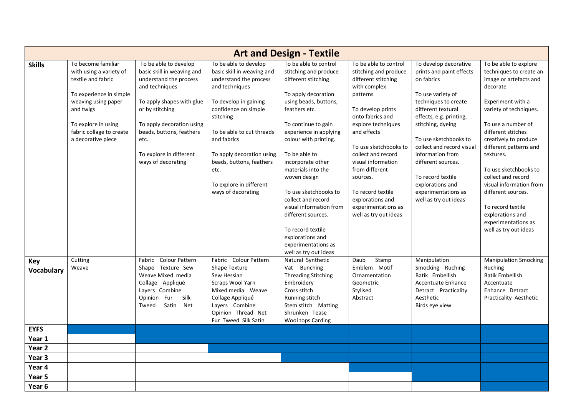|                          | <b>Art and Design - Textile</b>                                                                                                                                                                             |                                                                                                                                                                                                                                                                   |                                                                                                                                                                                                                                                                                                                             |                                                                                                                                                                                                                                                                                                                                                                                                                                                                                       |                                                                                                                                                                                                                                                                                                                                                                             |                                                                                                                                                                                                                                                                                                                                                                             |                                                                                                                                                                                                                                                                                                                                                                                                                                            |  |  |
|--------------------------|-------------------------------------------------------------------------------------------------------------------------------------------------------------------------------------------------------------|-------------------------------------------------------------------------------------------------------------------------------------------------------------------------------------------------------------------------------------------------------------------|-----------------------------------------------------------------------------------------------------------------------------------------------------------------------------------------------------------------------------------------------------------------------------------------------------------------------------|---------------------------------------------------------------------------------------------------------------------------------------------------------------------------------------------------------------------------------------------------------------------------------------------------------------------------------------------------------------------------------------------------------------------------------------------------------------------------------------|-----------------------------------------------------------------------------------------------------------------------------------------------------------------------------------------------------------------------------------------------------------------------------------------------------------------------------------------------------------------------------|-----------------------------------------------------------------------------------------------------------------------------------------------------------------------------------------------------------------------------------------------------------------------------------------------------------------------------------------------------------------------------|--------------------------------------------------------------------------------------------------------------------------------------------------------------------------------------------------------------------------------------------------------------------------------------------------------------------------------------------------------------------------------------------------------------------------------------------|--|--|
| <b>Skills</b>            | To become familiar<br>with using a variety of<br>textile and fabric<br>To experience in simple<br>weaving using paper<br>and twigs<br>To explore in using<br>fabric collage to create<br>a decorative piece | To be able to develop<br>basic skill in weaving and<br>understand the process<br>and techniques<br>To apply shapes with glue<br>or by stitching<br>To apply decoration using<br>beads, buttons, feathers<br>etc.<br>To explore in different<br>ways of decorating | To be able to develop<br>basic skill in weaving and<br>understand the process<br>and techniques<br>To develop in gaining<br>confidence on simple<br>stitching<br>To be able to cut threads<br>and fabrics<br>To apply decoration using<br>beads, buttons, feathers<br>etc.<br>To explore in different<br>ways of decorating | To be able to control<br>stitching and produce<br>different stitching<br>To apply decoration<br>using beads, buttons,<br>feathers etc.<br>To continue to gain<br>experience in applying<br>colour with printing.<br>To be able to<br>incorporate other<br>materials into the<br>woven design<br>To use sketchbooks to<br>collect and record<br>visual information from<br>different sources.<br>To record textile<br>explorations and<br>experimentations as<br>well as try out ideas | To be able to control<br>stitching and produce<br>different stitching<br>with complex<br>patterns<br>To develop prints<br>onto fabrics and<br>explore techniques<br>and effects<br>To use sketchbooks to<br>collect and record<br>visual information<br>from different<br>sources.<br>To record textile<br>explorations and<br>experimentations as<br>well as try out ideas | To develop decorative<br>prints and paint effects<br>on fabrics<br>To use variety of<br>techniques to create<br>different textural<br>effects, e.g. printing,<br>stitching, dyeing<br>To use sketchbooks to<br>collect and record visual<br>information from<br>different sources.<br>To record textile<br>explorations and<br>experimentations as<br>well as try out ideas | To be able to explore<br>techniques to create an<br>image or artefacts and<br>decorate<br>Experiment with a<br>variety of techniques.<br>To use a number of<br>different stitches<br>creatively to produce<br>different patterns and<br>textures.<br>To use sketchbooks to<br>collect and record<br>visual information from<br>different sources.<br>To record textile<br>explorations and<br>experimentations as<br>well as try out ideas |  |  |
| Key<br><b>Vocabulary</b> | Cutting<br>Weave                                                                                                                                                                                            | Fabric Colour Pattern<br>Shape Texture Sew<br>Weave Mixed media<br>Collage Appliqué<br>Layers Combine<br>Silk<br>Opinion Fur<br>Satin Net<br>Tweed                                                                                                                | Fabric Colour Pattern<br>Shape Texture<br>Sew Hessian<br>Scraps Wool Yarn<br>Mixed media Weave<br>Collage Appliqué<br>Layers Combine<br>Opinion Thread Net<br>Fur Tweed Silk Satin                                                                                                                                          | Natural Synthetic<br>Vat Bunching<br><b>Threading Stitching</b><br>Embroidery<br>Cross stitch<br>Running stitch<br>Stem stitch Matting<br>Shrunken Tease<br>Wool tops Carding                                                                                                                                                                                                                                                                                                         | Daub<br>Stamp<br>Emblem Motif<br>Ornamentation<br>Geometric<br>Stylised<br>Abstract                                                                                                                                                                                                                                                                                         | Manipulation<br>Smocking Ruching<br>Batik Embellish<br>Accentuate Enhance<br>Detract Practicality<br>Aesthetic<br>Birds eye view                                                                                                                                                                                                                                            | <b>Manipulation Smocking</b><br>Ruching<br><b>Batik Embellish</b><br>Accentuate<br>Enhance Detract<br>Practicality Aesthetic                                                                                                                                                                                                                                                                                                               |  |  |
| <b>EYFS</b>              |                                                                                                                                                                                                             |                                                                                                                                                                                                                                                                   |                                                                                                                                                                                                                                                                                                                             |                                                                                                                                                                                                                                                                                                                                                                                                                                                                                       |                                                                                                                                                                                                                                                                                                                                                                             |                                                                                                                                                                                                                                                                                                                                                                             |                                                                                                                                                                                                                                                                                                                                                                                                                                            |  |  |
| Year 1                   |                                                                                                                                                                                                             |                                                                                                                                                                                                                                                                   |                                                                                                                                                                                                                                                                                                                             |                                                                                                                                                                                                                                                                                                                                                                                                                                                                                       |                                                                                                                                                                                                                                                                                                                                                                             |                                                                                                                                                                                                                                                                                                                                                                             |                                                                                                                                                                                                                                                                                                                                                                                                                                            |  |  |
| Year <sub>2</sub>        |                                                                                                                                                                                                             |                                                                                                                                                                                                                                                                   |                                                                                                                                                                                                                                                                                                                             |                                                                                                                                                                                                                                                                                                                                                                                                                                                                                       |                                                                                                                                                                                                                                                                                                                                                                             |                                                                                                                                                                                                                                                                                                                                                                             |                                                                                                                                                                                                                                                                                                                                                                                                                                            |  |  |
| Year <sub>3</sub>        |                                                                                                                                                                                                             |                                                                                                                                                                                                                                                                   |                                                                                                                                                                                                                                                                                                                             |                                                                                                                                                                                                                                                                                                                                                                                                                                                                                       |                                                                                                                                                                                                                                                                                                                                                                             |                                                                                                                                                                                                                                                                                                                                                                             |                                                                                                                                                                                                                                                                                                                                                                                                                                            |  |  |
| Year 4                   |                                                                                                                                                                                                             |                                                                                                                                                                                                                                                                   |                                                                                                                                                                                                                                                                                                                             |                                                                                                                                                                                                                                                                                                                                                                                                                                                                                       |                                                                                                                                                                                                                                                                                                                                                                             |                                                                                                                                                                                                                                                                                                                                                                             |                                                                                                                                                                                                                                                                                                                                                                                                                                            |  |  |
| Year 5                   |                                                                                                                                                                                                             |                                                                                                                                                                                                                                                                   |                                                                                                                                                                                                                                                                                                                             |                                                                                                                                                                                                                                                                                                                                                                                                                                                                                       |                                                                                                                                                                                                                                                                                                                                                                             |                                                                                                                                                                                                                                                                                                                                                                             |                                                                                                                                                                                                                                                                                                                                                                                                                                            |  |  |
| Year 6                   |                                                                                                                                                                                                             |                                                                                                                                                                                                                                                                   |                                                                                                                                                                                                                                                                                                                             |                                                                                                                                                                                                                                                                                                                                                                                                                                                                                       |                                                                                                                                                                                                                                                                                                                                                                             |                                                                                                                                                                                                                                                                                                                                                                             |                                                                                                                                                                                                                                                                                                                                                                                                                                            |  |  |